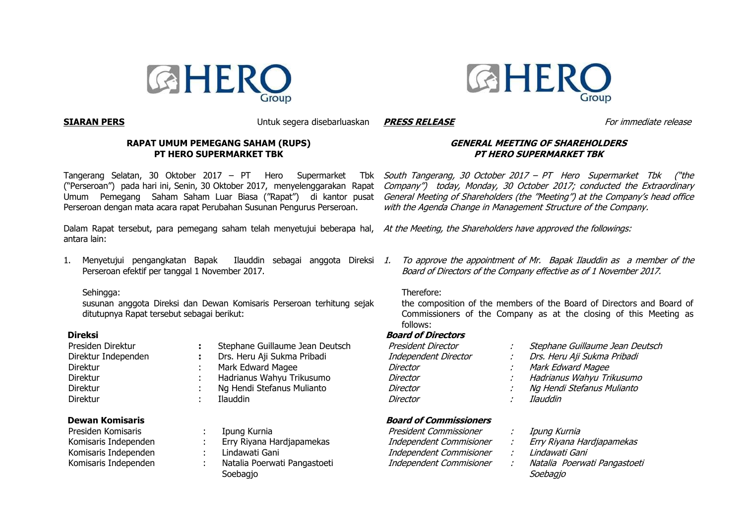



**SIARAN PERS** Untuk segera disebarluaskan

#### **RAPAT UMUM PEMEGANG SAHAM (RUPS) PT HERO SUPERMARKET TBK**

Tangerang Selatan, 30 Oktober 2017 – PT Hero Supermarket Tbk ("Perseroan") pada hari ini, Senin, 30 Oktober 2017, menyelenggarakan Rapat Umum Pemegang Saham Saham Luar Biasa ("Rapat") di kantor pusat Perseroan dengan mata acara rapat Perubahan Susunan Pengurus Perseroan.

Dalam Rapat tersebut, para pemegang saham telah menyetujui beberapa hal, *At the Meeting, the Shareholders have approved the followings:* antara lain:

1. Menyetujui pengangkatan Bapak Ilauddin sebagai anggota Direksi 1. To approve the appointment of Mr. Bapak Ilauddin as a member of the Perseroan efektif per tanggal 1 November 2017.

#### Sehingga:

susunan anggota Direksi dan Dewan Komisaris Perseroan terhitung sejak ditutupnya Rapat tersebut sebagai berikut:

# **Direksi**

| Presiden Direktur   |
|---------------------|
| Direktur Independen |
| Direktur            |
| Direktur            |
| Direktur            |
| Direktur            |
|                     |

### **Dewan Komisaris**

| Presiden Komisaris   |  |  |  |
|----------------------|--|--|--|
| Komisaris Independen |  |  |  |
| Komisaris Independen |  |  |  |
| Komisaris Independen |  |  |  |

- Stephane Guillaume Jean Deutsch
- Drs. Heru Aji Sukma Pribadi
- Mark Edward Magee
- Hadrianus Wahyu Trikusumo
- Ng Hendi Stefanus Mulianto
- **Ilauddin** 
	- Ipung Kurnia
	- Erry Rivana Hardiapamekas
	- Lindawati Gani
	- Natalia Poerwati Pangastoeti Soebagio

# **GENERAL MEETING OF SHAREHOLDERS PT HERO SUPERMARKET TBK**

South Tangerang, 30 October 2017 – PT Hero Supermarket Tbk ("the Company") today, Monday, 30 October 2017; conducted the Extraordinary General Meeting of Shareholders (the "Meeting") at the Company's head office with the Agenda Change in Management Structure of the Company.

Board of Directors of the Company effective as of 1 November 2017.

#### Therefore:

the composition of the members of the Board of Directors and Board of Commissioners of the Company as at the closing of this Meeting as follows:

#### **Board of Directors**

| President Director   | Stephane Guillaume Jean Deutsch |
|----------------------|---------------------------------|
| Independent Director | Drs. Heru Aji Sukma Pribadi     |
| Director             | Mark Edward Magee               |
| Director             | Hadrianus Wahyu Trikusumo       |
| Director             | Ng Hendi Stefanus Mulianto      |
| Director             | Ilauddin                        |
|                      |                                 |

# **Board of Commissioners**

| President Commissioner  | Ipung Kurnia                 |
|-------------------------|------------------------------|
| Independent Commisioner | Erry Riyana Hardjapamekas    |
| Independent Commisioner | Lindawati Gani               |
| Independent Commisioner | Natalia Poerwati Pangastoeti |
|                         | Soebagio                     |

**PRESS RELEASE** For immediate release